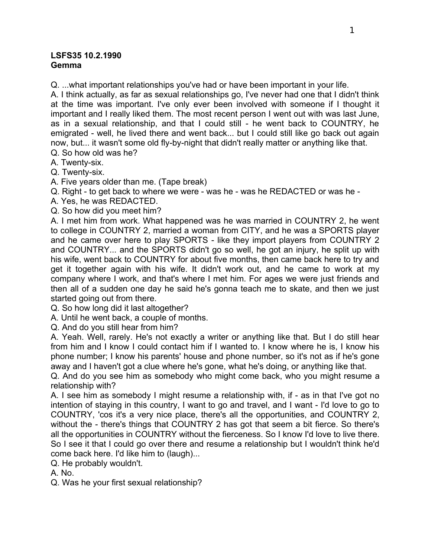## **LSFS35 10.2.1990 Gemma**

Q. ...what important relationships you've had or have been important in your life.

A. I think actually, as far as sexual relationships go, I've never had one that I didn't think at the time was important. I've only ever been involved with someone if I thought it important and I really liked them. The most recent person I went out with was last June, as in a sexual relationship, and that I could still - he went back to COUNTRY, he emigrated - well, he lived there and went back... but I could still like go back out again now, but... it wasn't some old fly-by-night that didn't really matter or anything like that. Q. So how old was he?

A. Twenty-six.

Q. Twenty-six.

A. Five years older than me. (Tape break)

Q. Right - to get back to where we were - was he - was he REDACTED or was he -

A. Yes, he was REDACTED.

Q. So how did you meet him?

A. I met him from work. What happened was he was married in COUNTRY 2, he went to college in COUNTRY 2, married a woman from CITY, and he was a SPORTS player and he came over here to play SPORTS - like they import players from COUNTRY 2 and COUNTRY... and the SPORTS didn't go so well, he got an injury, he split up with his wife, went back to COUNTRY for about five months, then came back here to try and get it together again with his wife. It didn't work out, and he came to work at my company where I work, and that's where I met him. For ages we were just friends and then all of a sudden one day he said he's gonna teach me to skate, and then we just started going out from there.

Q. So how long did it last altogether?

A. Until he went back, a couple of months.

Q. And do you still hear from him?

A. Yeah. Well, rarely. He's not exactly a writer or anything like that. But I do still hear from him and I know I could contact him if I wanted to. I know where he is, I know his phone number; I know his parents' house and phone number, so it's not as if he's gone away and I haven't got a clue where he's gone, what he's doing, or anything like that.

Q. And do you see him as somebody who might come back, who you might resume a relationship with?

A. I see him as somebody I might resume a relationship with, if - as in that I've got no intention of staying in this country, I want to go and travel, and I want - I'd love to go to COUNTRY, 'cos it's a very nice place, there's all the opportunities, and COUNTRY 2, without the - there's things that COUNTRY 2 has got that seem a bit fierce. So there's all the opportunities in COUNTRY without the fierceness. So I know I'd love to live there. So I see it that I could go over there and resume a relationship but I wouldn't think he'd come back here. I'd like him to (laugh)...

Q. He probably wouldn't.

A. No.

Q. Was he your first sexual relationship?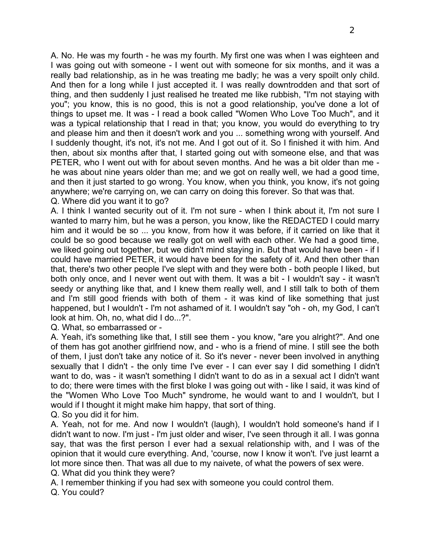A. No. He was my fourth - he was my fourth. My first one was when I was eighteen and I was going out with someone - I went out with someone for six months, and it was a really bad relationship, as in he was treating me badly; he was a very spoilt only child. And then for a long while I just accepted it. I was really downtrodden and that sort of thing, and then suddenly I just realised he treated me like rubbish, "I'm not staying with you"; you know, this is no good, this is not a good relationship, you've done a lot of things to upset me. It was - I read a book called "Women Who Love Too Much", and it was a typical relationship that I read in that; you know, you would do everything to try and please him and then it doesn't work and you ... something wrong with yourself. And I suddenly thought, it's not, it's not me. And I got out of it. So I finished it with him. And then, about six months after that, I started going out with someone else, and that was PETER, who I went out with for about seven months. And he was a bit older than me he was about nine years older than me; and we got on really well, we had a good time, and then it just started to go wrong. You know, when you think, you know, it's not going anywhere; we're carrying on, we can carry on doing this forever. So that was that.

Q. Where did you want it to go?

A. I think I wanted security out of it. I'm not sure - when I think about it, I'm not sure I wanted to marry him, but he was a person, you know, like the REDACTED I could marry him and it would be so ... you know, from how it was before, if it carried on like that it could be so good because we really got on well with each other. We had a good time, we liked going out together, but we didn't mind staying in. But that would have been - if I could have married PETER, it would have been for the safety of it. And then other than that, there's two other people I've slept with and they were both - both people I liked, but both only once, and I never went out with them. It was a bit - I wouldn't say - it wasn't seedy or anything like that, and I knew them really well, and I still talk to both of them and I'm still good friends with both of them - it was kind of like something that just happened, but I wouldn't - I'm not ashamed of it. I wouldn't say "oh - oh, my God, I can't look at him. Oh, no, what did I do...?".

Q. What, so embarrassed or -

A. Yeah, it's something like that, I still see them - you know, "are you alright?". And one of them has got another girlfriend now, and - who is a friend of mine. I still see the both of them, I just don't take any notice of it. So it's never - never been involved in anything sexually that I didn't - the only time I've ever - I can ever say I did something I didn't want to do, was - it wasn't something I didn't want to do as in a sexual act I didn't want to do; there were times with the first bloke I was going out with - like I said, it was kind of the "Women Who Love Too Much" syndrome, he would want to and I wouldn't, but I would if I thought it might make him happy, that sort of thing.

Q. So you did it for him.

A. Yeah, not for me. And now I wouldn't (laugh), I wouldn't hold someone's hand if I didn't want to now. I'm just - I'm just older and wiser, I've seen through it all. I was gonna say, that was the first person I ever had a sexual relationship with, and I was of the opinion that it would cure everything. And, 'course, now I know it won't. I've just learnt a lot more since then. That was all due to my naivete, of what the powers of sex were.

Q. What did you think they were?

A. I remember thinking if you had sex with someone you could control them.

Q. You could?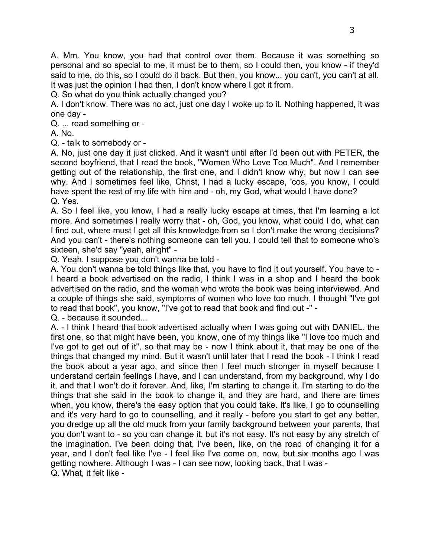A. Mm. You know, you had that control over them. Because it was something so personal and so special to me, it must be to them, so I could then, you know - if they'd said to me, do this, so I could do it back. But then, you know... you can't, you can't at all. It was just the opinion I had then, I don't know where I got it from.

Q. So what do you think actually changed you?

A. I don't know. There was no act, just one day I woke up to it. Nothing happened, it was one day -

Q. ... read something or -

A. No.

Q. - talk to somebody or -

A. No, just one day it just clicked. And it wasn't until after I'd been out with PETER, the second boyfriend, that I read the book, "Women Who Love Too Much". And I remember getting out of the relationship, the first one, and I didn't know why, but now I can see why. And I sometimes feel like, Christ, I had a lucky escape, 'cos, you know, I could have spent the rest of my life with him and - oh, my God, what would I have done? Q. Yes.

A. So I feel like, you know, I had a really lucky escape at times, that I'm learning a lot more. And sometimes I really worry that - oh, God, you know, what could I do, what can I find out, where must I get all this knowledge from so I don't make the wrong decisions? And you can't - there's nothing someone can tell you. I could tell that to someone who's sixteen, she'd say "yeah, alright" -

Q. Yeah. I suppose you don't wanna be told -

A. You don't wanna be told things like that, you have to find it out yourself. You have to - I heard a book advertised on the radio, I think I was in a shop and I heard the book advertised on the radio, and the woman who wrote the book was being interviewed. And a couple of things she said, symptoms of women who love too much, I thought "I've got to read that book", you know, "I've got to read that book and find out -" -

Q. - because it sounded...

A. - I think I heard that book advertised actually when I was going out with DANIEL, the first one, so that might have been, you know, one of my things like "I love too much and I've got to get out of it", so that may be - now I think about it, that may be one of the things that changed my mind. But it wasn't until later that I read the book - I think I read the book about a year ago, and since then I feel much stronger in myself because I understand certain feelings I have, and I can understand, from my background, why I do it, and that I won't do it forever. And, like, I'm starting to change it, I'm starting to do the things that she said in the book to change it, and they are hard, and there are times when, you know, there's the easy option that you could take. It's like, I go to counselling and it's very hard to go to counselling, and it really - before you start to get any better, you dredge up all the old muck from your family background between your parents, that you don't want to - so you can change it, but it's not easy. It's not easy by any stretch of the imagination. I've been doing that, I've been, like, on the road of changing it for a year, and I don't feel like I've - I feel like I've come on, now, but six months ago I was getting nowhere. Although I was - I can see now, looking back, that I was - Q. What, it felt like -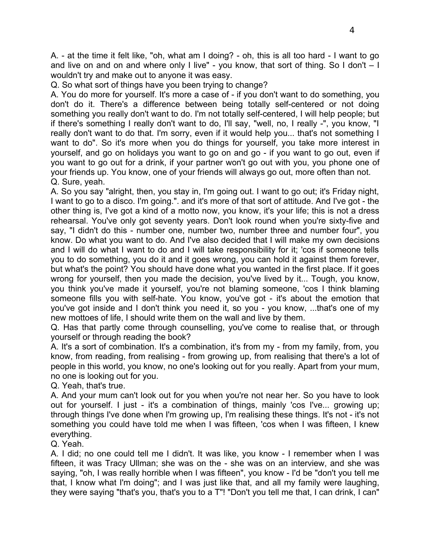A. - at the time it felt like, "oh, what am I doing? - oh, this is all too hard - I want to go and live on and on and where only I live" - you know, that sort of thing. So I don't – I wouldn't try and make out to anyone it was easy.

Q. So what sort of things have you been trying to change?

A. You do more for yourself. It's more a case of - if you don't want to do something, you don't do it. There's a difference between being totally self-centered or not doing something you really don't want to do. I'm not totally self-centered, I will help people; but if there's something I really don't want to do, I'll say, "well, no, I really -", you know, "I really don't want to do that. I'm sorry, even if it would help you... that's not something I want to do". So it's more when you do things for yourself, you take more interest in yourself, and go on holidays you want to go on and go - if you want to go out, even if you want to go out for a drink, if your partner won't go out with you, you phone one of your friends up. You know, one of your friends will always go out, more often than not. Q. Sure, yeah.

A. So you say "alright, then, you stay in, I'm going out. I want to go out; it's Friday night, I want to go to a disco. I'm going.". and it's more of that sort of attitude. And I've got - the other thing is, I've got a kind of a motto now, you know, it's your life; this is not a dress rehearsal. You've only got seventy years. Don't look round when you're sixty-five and say, "I didn't do this - number one, number two, number three and number four", you know. Do what you want to do. And I've also decided that I will make my own decisions and I will do what I want to do and I will take responsibility for it; 'cos if someone tells you to do something, you do it and it goes wrong, you can hold it against them forever, but what's the point? You should have done what you wanted in the first place. If it goes wrong for yourself, then you made the decision, you've lived by it... Tough, you know, you think you've made it yourself, you're not blaming someone, 'cos I think blaming someone fills you with self-hate. You know, you've got - it's about the emotion that you've got inside and I don't think you need it, so you - you know, ...that's one of my new mottoes of life, I should write them on the wall and live by them.

Q. Has that partly come through counselling, you've come to realise that, or through yourself or through reading the book?

A. It's a sort of combination. It's a combination, it's from my - from my family, from, you know, from reading, from realising - from growing up, from realising that there's a lot of people in this world, you know, no one's looking out for you really. Apart from your mum, no one is looking out for you.

Q. Yeah, that's true.

A. And your mum can't look out for you when you're not near her. So you have to look out for yourself. I just - it's a combination of things, mainly 'cos I've... growing up; through things I've done when I'm growing up, I'm realising these things. It's not - it's not something you could have told me when I was fifteen, 'cos when I was fifteen, I knew everything.

Q. Yeah.

A. I did; no one could tell me I didn't. It was like, you know - I remember when I was fifteen, it was Tracy Ullman; she was on the - she was on an interview, and she was saying, "oh, I was really horrible when I was fifteen", you know - I'd be "don't you tell me that, I know what I'm doing"; and I was just like that, and all my family were laughing, they were saying "that's you, that's you to a T"! "Don't you tell me that, I can drink, I can"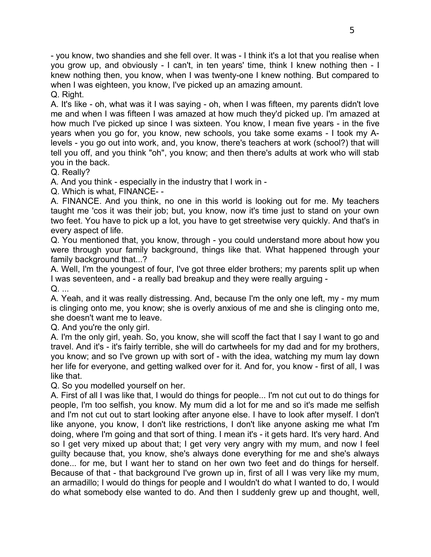- you know, two shandies and she fell over. It was - I think it's a lot that you realise when you grow up, and obviously - I can't, in ten years' time, think I knew nothing then - I knew nothing then, you know, when I was twenty-one I knew nothing. But compared to when I was eighteen, you know, I've picked up an amazing amount. Q. Right.

A. It's like - oh, what was it I was saying - oh, when I was fifteen, my parents didn't love me and when I was fifteen I was amazed at how much they'd picked up. I'm amazed at how much I've picked up since I was sixteen. You know, I mean five years - in the five years when you go for, you know, new schools, you take some exams - I took my Alevels - you go out into work, and, you know, there's teachers at work (school?) that will tell you off, and you think "oh", you know; and then there's adults at work who will stab you in the back.

Q. Really?

A. And you think - especially in the industry that I work in -

Q. Which is what, FINANCE- -

A. FINANCE. And you think, no one in this world is looking out for me. My teachers taught me 'cos it was their job; but, you know, now it's time just to stand on your own two feet. You have to pick up a lot, you have to get streetwise very quickly. And that's in every aspect of life.

Q. You mentioned that, you know, through - you could understand more about how you were through your family background, things like that. What happened through your family background that...?

A. Well, I'm the youngest of four, I've got three elder brothers; my parents split up when I was seventeen, and - a really bad breakup and they were really arguing -

Q. ...

A. Yeah, and it was really distressing. And, because I'm the only one left, my - my mum is clinging onto me, you know; she is overly anxious of me and she is clinging onto me, she doesn't want me to leave.

Q. And you're the only girl.

A. I'm the only girl, yeah. So, you know, she will scoff the fact that I say I want to go and travel. And it's - it's fairly terrible, she will do cartwheels for my dad and for my brothers, you know; and so I've grown up with sort of - with the idea, watching my mum lay down her life for everyone, and getting walked over for it. And for, you know - first of all, I was like that.

Q. So you modelled yourself on her.

A. First of all I was like that, I would do things for people... I'm not cut out to do things for people, I'm too selfish, you know. My mum did a lot for me and so it's made me selfish and I'm not cut out to start looking after anyone else. I have to look after myself. I don't like anyone, you know, I don't like restrictions, I don't like anyone asking me what I'm doing, where I'm going and that sort of thing. I mean it's - it gets hard. It's very hard. And so I get very mixed up about that; I get very very angry with my mum, and now I feel guilty because that, you know, she's always done everything for me and she's always done... for me, but I want her to stand on her own two feet and do things for herself. Because of that - that background I've grown up in, first of all I was very like my mum, an armadillo; I would do things for people and I wouldn't do what I wanted to do, I would do what somebody else wanted to do. And then I suddenly grew up and thought, well,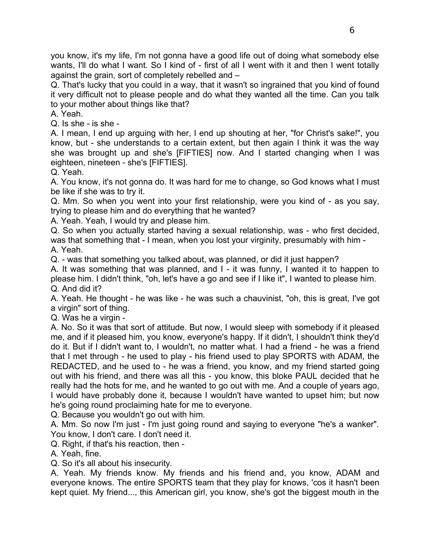you know, it's my life, I'm not gonna have a good life out of doing what somebody else wants, I'll do what I want. So I kind of - first of all I went with it and then I went totally against the grain, sort of completely rebelled and –

Q. That's lucky that you could in a way, that it wasn't so ingrained that you kind of found it very difficult not to please people and do what they wanted all the time. Can you talk to your mother about things like that?

A. Yeah.

Q. Is she - is she -

A. I mean, I end up arguing with her, I end up shouting at her, "for Christ's sake!", you know, but - she understands to a certain extent, but then again I think it was the way she was brought up and she's [FIFTIES] now. And I started changing when I was eighteen, nineteen - she's [FIFTIES].

Q. Yeah.

A. You know, it's not gonna do. It was hard for me to change, so God knows what I must be like if she was to try it.

Q. Mm. So when you went into your first relationship, were you kind of - as you say, trying to please him and do everything that he wanted?

A. Yeah. Yeah, I would try and please him.

Q. So when you actually started having a sexual relationship, was - who first decided, was that something that - I mean, when you lost your virginity, presumably with him - A. Yeah.

Q. - was that something you talked about, was planned, or did it just happen?

A. It was something that was planned, and I - it was funny, I wanted it to happen to please him. I didn't think, "oh, let's have a go and see if I like it", I wanted to please him. Q. And did it?

A. Yeah. He thought - he was like - he was such a chauvinist, "oh, this is great, I've got a virgin" sort of thing.

Q. Was he a virgin -

A. No. So it was that sort of attitude. But now, I would sleep with somebody if it pleased me, and if it pleased him, you know, everyone's happy. If it didn't, I shouldn't think they'd do it. But if I didn't want to, I wouldn't, no matter what. I had a friend - he was a friend that I met through - he used to play - his friend used to play SPORTS with ADAM, the REDACTED, and he used to - he was a friend, you know, and my friend started going out with his friend, and there was all this - you know, this bloke PAUL decided that he really had the hots for me, and he wanted to go out with me. And a couple of years ago, I would have probably done it, because I wouldn't have wanted to upset him; but now he's going round proclaiming hate for me to everyone.

Q. Because you wouldn't go out with him.

A. Mm. So now I'm just - I'm just going round and saying to everyone "he's a wanker". You know, I don't care. I don't need it.

Q. Right, if that's his reaction, then -

A. Yeah, fine.

Q. So it's all about his insecurity.

A. Yeah. My friends know. My friends and his friend and, you know, ADAM and everyone knows. The entire SPORTS team that they play for knows, 'cos it hasn't been kept quiet. My friend..., this American girl, you know, she's got the biggest mouth in the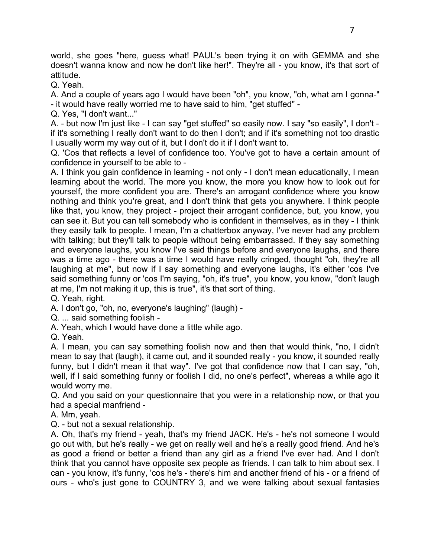world, she goes "here, guess what! PAUL's been trying it on with GEMMA and she doesn't wanna know and now he don't like her!". They're all - you know, it's that sort of attitude.

Q. Yeah.

A. And a couple of years ago I would have been "oh", you know, "oh, what am I gonna-" - it would have really worried me to have said to him, "get stuffed" -

Q. Yes, "I don't want..."

A. - but now I'm just like - I can say "get stuffed" so easily now. I say "so easily", I don't if it's something I really don't want to do then I don't; and if it's something not too drastic I usually worm my way out of it, but I don't do it if I don't want to.

Q. 'Cos that reflects a level of confidence too. You've got to have a certain amount of confidence in yourself to be able to -

A. I think you gain confidence in learning - not only - I don't mean educationally, I mean learning about the world. The more you know, the more you know how to look out for yourself, the more confident you are. There's an arrogant confidence where you know nothing and think you're great, and I don't think that gets you anywhere. I think people like that, you know, they project - project their arrogant confidence, but, you know, you can see it. But you can tell somebody who is confident in themselves, as in they - I think they easily talk to people. I mean, I'm a chatterbox anyway, I've never had any problem with talking; but they'll talk to people without being embarrassed. If they say something and everyone laughs, you know I've said things before and everyone laughs, and there was a time ago - there was a time I would have really cringed, thought "oh, they're all laughing at me", but now if I say something and everyone laughs, it's either 'cos I've said something funny or 'cos I'm saying, "oh, it's true", you know, you know, "don't laugh at me, I'm not making it up, this is true", it's that sort of thing.

Q. Yeah, right.

A. I don't go, "oh, no, everyone's laughing" (laugh) -

Q. ... said something foolish -

A. Yeah, which I would have done a little while ago.

Q. Yeah.

A. I mean, you can say something foolish now and then that would think, "no, I didn't mean to say that (laugh), it came out, and it sounded really - you know, it sounded really funny, but I didn't mean it that way". I've got that confidence now that I can say, "oh, well, if I said something funny or foolish I did, no one's perfect", whereas a while ago it would worry me.

Q. And you said on your questionnaire that you were in a relationship now, or that you had a special manfriend -

A. Mm, yeah.

Q. - but not a sexual relationship.

A. Oh, that's my friend - yeah, that's my friend JACK. He's - he's not someone I would go out with, but he's really - we get on really well and he's a really good friend. And he's as good a friend or better a friend than any girl as a friend I've ever had. And I don't think that you cannot have opposite sex people as friends. I can talk to him about sex. I can - you know, it's funny, 'cos he's - there's him and another friend of his - or a friend of ours - who's just gone to COUNTRY 3, and we were talking about sexual fantasies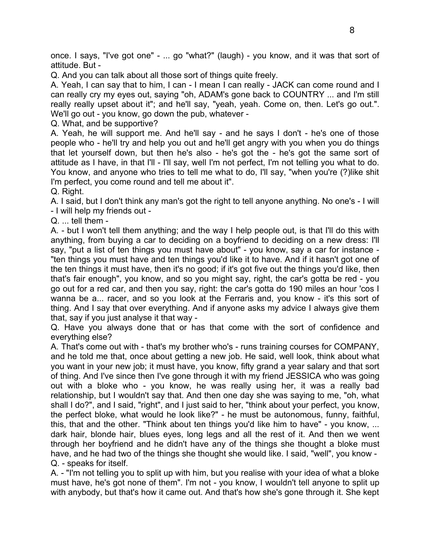once. I says, "I've got one" - ... go "what?" (laugh) - you know, and it was that sort of attitude. But -

Q. And you can talk about all those sort of things quite freely.

A. Yeah, I can say that to him, I can - I mean I can really - JACK can come round and I can really cry my eyes out, saying "oh, ADAM's gone back to COUNTRY ... and I'm still really really upset about it"; and he'll say, "yeah, yeah. Come on, then. Let's go out.". We'll go out - you know, go down the pub, whatever -

Q. What, and be supportive?

A. Yeah, he will support me. And he'll say - and he says I don't - he's one of those people who - he'll try and help you out and he'll get angry with you when you do things that let yourself down, but then he's also - he's got the - he's got the same sort of attitude as I have, in that I'll - I'll say, well I'm not perfect, I'm not telling you what to do. You know, and anyone who tries to tell me what to do, I'll say, "when you're (?)like shit I'm perfect, you come round and tell me about it".

Q. Right.

A. I said, but I don't think any man's got the right to tell anyone anything. No one's - I will - I will help my friends out -

Q. ... tell them -

A. - but I won't tell them anything; and the way I help people out, is that I'll do this with anything, from buying a car to deciding on a boyfriend to deciding on a new dress: I'll say, "put a list of ten things you must have about" - you know, say a car for instance - "ten things you must have and ten things you'd like it to have. And if it hasn't got one of the ten things it must have, then it's no good; if it's got five out the things you'd like, then that's fair enough", you know, and so you might say, right, the car's gotta be red - you go out for a red car, and then you say, right: the car's gotta do 190 miles an hour 'cos I wanna be a... racer, and so you look at the Ferraris and, you know - it's this sort of thing. And I say that over everything. And if anyone asks my advice I always give them that, say if you just analyse it that way -

Q. Have you always done that or has that come with the sort of confidence and everything else?

A. That's come out with - that's my brother who's - runs training courses for COMPANY, and he told me that, once about getting a new job. He said, well look, think about what you want in your new job; it must have, you know, fifty grand a year salary and that sort of thing. And I've since then I've gone through it with my friend JESSICA who was going out with a bloke who - you know, he was really using her, it was a really bad relationship, but I wouldn't say that. And then one day she was saying to me, "oh, what shall I do?", and I said, "right", and I just said to her, "think about your perfect, you know, the perfect bloke, what would he look like?" - he must be autonomous, funny, faithful, this, that and the other. "Think about ten things you'd like him to have" - you know, ... dark hair, blonde hair, blues eyes, long legs and all the rest of it. And then we went through her boyfriend and he didn't have any of the things she thought a bloke must have, and he had two of the things she thought she would like. I said, "well", you know - Q. - speaks for itself.

A. - "I'm not telling you to split up with him, but you realise with your idea of what a bloke must have, he's got none of them". I'm not - you know, I wouldn't tell anyone to split up with anybody, but that's how it came out. And that's how she's gone through it. She kept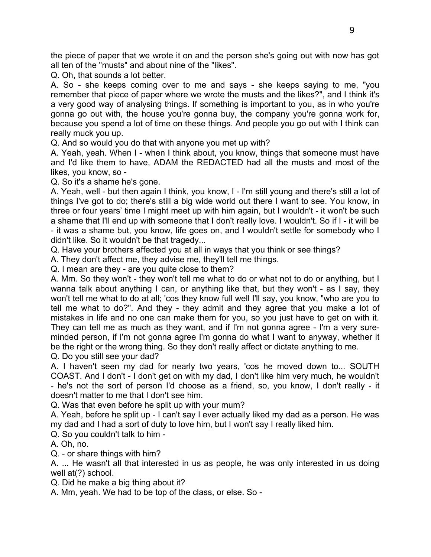the piece of paper that we wrote it on and the person she's going out with now has got all ten of the "musts" and about nine of the "likes".

Q. Oh, that sounds a lot better.

A. So - she keeps coming over to me and says - she keeps saying to me, "you remember that piece of paper where we wrote the musts and the likes?", and I think it's a very good way of analysing things. If something is important to you, as in who you're gonna go out with, the house you're gonna buy, the company you're gonna work for, because you spend a lot of time on these things. And people you go out with I think can really muck you up.

Q. And so would you do that with anyone you met up with?

A. Yeah, yeah. When I - when I think about, you know, things that someone must have and I'd like them to have, ADAM the REDACTED had all the musts and most of the likes, you know, so -

Q. So it's a shame he's gone.

A. Yeah, well - but then again I think, you know, I - I'm still young and there's still a lot of things I've got to do; there's still a big wide world out there I want to see. You know, in three or four years' time I might meet up with him again, but I wouldn't - it won't be such a shame that I'll end up with someone that I don't really love. I wouldn't. So if I - it will be - it was a shame but, you know, life goes on, and I wouldn't settle for somebody who I didn't like. So it wouldn't be that tragedy...

Q. Have your brothers affected you at all in ways that you think or see things?

A. They don't affect me, they advise me, they'll tell me things.

Q. I mean are they - are you quite close to them?

A. Mm. So they won't - they won't tell me what to do or what not to do or anything, but I wanna talk about anything I can, or anything like that, but they won't - as I say, they won't tell me what to do at all; 'cos they know full well I'll say, you know, "who are you to tell me what to do?". And they - they admit and they agree that you make a lot of mistakes in life and no one can make them for you, so you just have to get on with it. They can tell me as much as they want, and if I'm not gonna agree - I'm a very sureminded person, if I'm not gonna agree I'm gonna do what I want to anyway, whether it be the right or the wrong thing. So they don't really affect or dictate anything to me. Q. Do you still see your dad?

A. I haven't seen my dad for nearly two years, 'cos he moved down to... SOUTH COAST. And I don't - I don't get on with my dad, I don't like him very much, he wouldn't - he's not the sort of person I'd choose as a friend, so, you know, I don't really - it doesn't matter to me that I don't see him.

Q. Was that even before he split up with your mum?

A. Yeah, before he split up - I can't say I ever actually liked my dad as a person. He was my dad and I had a sort of duty to love him, but I won't say I really liked him.

Q. So you couldn't talk to him -

A. Oh, no.

Q. - or share things with him?

A. ... He wasn't all that interested in us as people, he was only interested in us doing well at(?) school.

Q. Did he make a big thing about it?

A. Mm, yeah. We had to be top of the class, or else. So -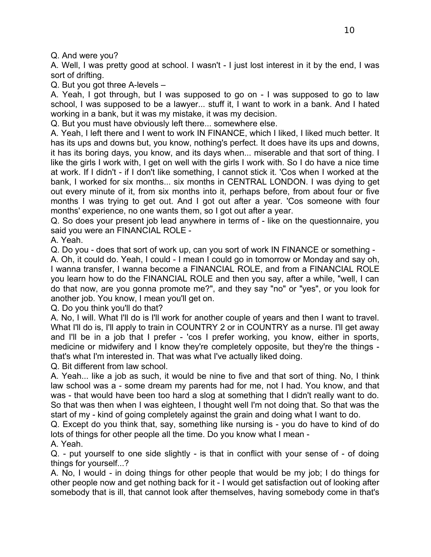Q. And were you?

A. Well, I was pretty good at school. I wasn't - I just lost interest in it by the end, I was sort of drifting.

Q. But you got three A-levels –

A. Yeah, I got through, but I was supposed to go on - I was supposed to go to law school, I was supposed to be a lawyer... stuff it, I want to work in a bank. And I hated working in a bank, but it was my mistake, it was my decision.

Q. But you must have obviously left there... somewhere else.

A. Yeah, I left there and I went to work IN FINANCE, which I liked, I liked much better. It has its ups and downs but, you know, nothing's perfect. It does have its ups and downs, it has its boring days, you know, and its days when... miserable and that sort of thing. I like the girls I work with, I get on well with the girls I work with. So I do have a nice time at work. If I didn't - if I don't like something, I cannot stick it. 'Cos when I worked at the bank, I worked for six months... six months in CENTRAL LONDON. I was dying to get out every minute of it, from six months into it, perhaps before, from about four or five months I was trying to get out. And I got out after a year. 'Cos someone with four months' experience, no one wants them, so I got out after a year.

Q. So does your present job lead anywhere in terms of - like on the questionnaire, you said you were an FINANCIAL ROLE -

A. Yeah.

Q. Do you - does that sort of work up, can you sort of work IN FINANCE or something -

A. Oh, it could do. Yeah, I could - I mean I could go in tomorrow or Monday and say oh, I wanna transfer, I wanna become a FINANCIAL ROLE, and from a FINANCIAL ROLE you learn how to do the FINANCIAL ROLE and then you say, after a while, "well, I can do that now, are you gonna promote me?", and they say "no" or "yes", or you look for another job. You know, I mean you'll get on.

Q. Do you think you'll do that?

A. No, I will. What I'll do is I'll work for another couple of years and then I want to travel. What I'll do is, I'll apply to train in COUNTRY 2 or in COUNTRY as a nurse. I'll get away and I'll be in a job that I prefer - 'cos I prefer working, you know, either in sports, medicine or midwifery and I know they're completely opposite, but they're the things that's what I'm interested in. That was what I've actually liked doing.

Q. Bit different from law school.

A. Yeah... like a job as such, it would be nine to five and that sort of thing. No, I think law school was a - some dream my parents had for me, not I had. You know, and that was - that would have been too hard a slog at something that I didn't really want to do. So that was then when I was eighteen, I thought well I'm not doing that. So that was the start of my - kind of going completely against the grain and doing what I want to do.

Q. Except do you think that, say, something like nursing is - you do have to kind of do lots of things for other people all the time. Do you know what I mean -

A. Yeah.

Q. - put yourself to one side slightly - is that in conflict with your sense of - of doing things for yourself...?

A. No, I would - in doing things for other people that would be my job; I do things for other people now and get nothing back for it - I would get satisfaction out of looking after somebody that is ill, that cannot look after themselves, having somebody come in that's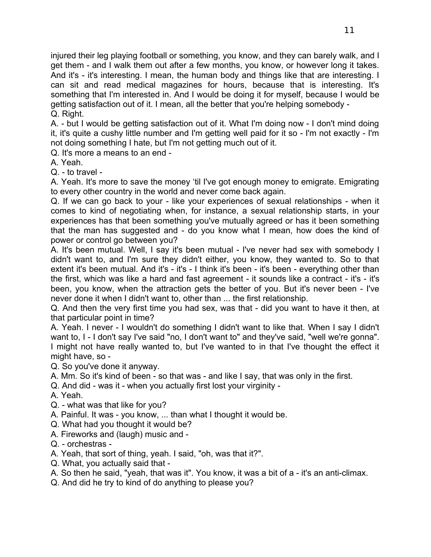injured their leg playing football or something, you know, and they can barely walk, and I get them - and I walk them out after a few months, you know, or however long it takes. And it's - it's interesting. I mean, the human body and things like that are interesting. I can sit and read medical magazines for hours, because that is interesting. It's something that I'm interested in. And I would be doing it for myself, because I would be getting satisfaction out of it. I mean, all the better that you're helping somebody - Q. Right.

A. - but I would be getting satisfaction out of it. What I'm doing now - I don't mind doing it, it's quite a cushy little number and I'm getting well paid for it so - I'm not exactly - I'm not doing something I hate, but I'm not getting much out of it.

Q. It's more a means to an end -

A. Yeah.

Q. - to travel -

A. Yeah. It's more to save the money 'til I've got enough money to emigrate. Emigrating to every other country in the world and never come back again.

Q. If we can go back to your - like your experiences of sexual relationships - when it comes to kind of negotiating when, for instance, a sexual relationship starts, in your experiences has that been something you've mutually agreed or has it been something that the man has suggested and - do you know what I mean, how does the kind of power or control go between you?

A. It's been mutual. Well, I say it's been mutual - I've never had sex with somebody I didn't want to, and I'm sure they didn't either, you know, they wanted to. So to that extent it's been mutual. And it's - it's - I think it's been - it's been - everything other than the first, which was like a hard and fast agreement - it sounds like a contract - it's - it's been, you know, when the attraction gets the better of you. But it's never been - I've never done it when I didn't want to, other than ... the first relationship.

Q. And then the very first time you had sex, was that - did you want to have it then, at that particular point in time?

A. Yeah. I never - I wouldn't do something I didn't want to like that. When I say I didn't want to, I - I don't say I've said "no, I don't want to" and they've said, "well we're gonna". I might not have really wanted to, but I've wanted to in that I've thought the effect it might have, so -

Q. So you've done it anyway.

A. Mm. So it's kind of been - so that was - and like I say, that was only in the first.

- Q. And did was it when you actually first lost your virginity -
- A. Yeah.
- Q. what was that like for you?
- A. Painful. It was you know, ... than what I thought it would be.
- Q. What had you thought it would be?
- A. Fireworks and (laugh) music and -
- Q. orchestras -
- A. Yeah, that sort of thing, yeah. I said, "oh, was that it?".
- Q. What, you actually said that -
- A. So then he said, "yeah, that was it". You know, it was a bit of a it's an anti-climax.
- Q. And did he try to kind of do anything to please you?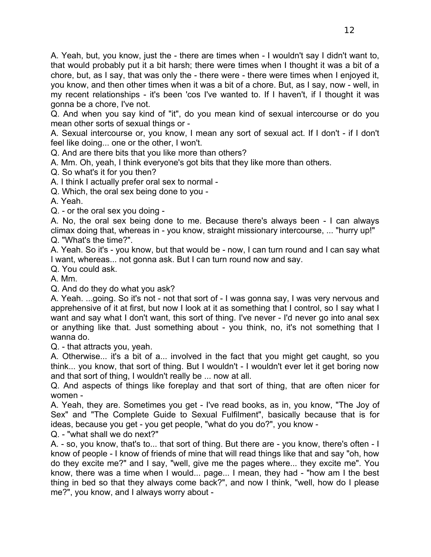A. Yeah, but, you know, just the - there are times when - I wouldn't say I didn't want to, that would probably put it a bit harsh; there were times when I thought it was a bit of a chore, but, as I say, that was only the - there were - there were times when I enjoyed it, you know, and then other times when it was a bit of a chore. But, as I say, now - well, in my recent relationships - it's been 'cos I've wanted to. If I haven't, if I thought it was gonna be a chore, I've not.

Q. And when you say kind of "it", do you mean kind of sexual intercourse or do you mean other sorts of sexual things or -

A. Sexual intercourse or, you know, I mean any sort of sexual act. If I don't - if I don't feel like doing... one or the other, I won't.

Q. And are there bits that you like more than others?

A. Mm. Oh, yeah, I think everyone's got bits that they like more than others.

Q. So what's it for you then?

A. I think I actually prefer oral sex to normal -

Q. Which, the oral sex being done to you -

A. Yeah.

Q. - or the oral sex you doing -

A. No, the oral sex being done to me. Because there's always been - I can always climax doing that, whereas in - you know, straight missionary intercourse, ... "hurry up!" Q. "What's the time?".

A. Yeah. So it's - you know, but that would be - now, I can turn round and I can say what I want, whereas... not gonna ask. But I can turn round now and say.

Q. You could ask.

A. Mm.

Q. And do they do what you ask?

A. Yeah. ...going. So it's not - not that sort of - I was gonna say, I was very nervous and apprehensive of it at first, but now I look at it as something that I control, so I say what I want and say what I don't want, this sort of thing. I've never - I'd never go into anal sex or anything like that. Just something about - you think, no, it's not something that I wanna do.

Q. - that attracts you, yeah.

A. Otherwise... it's a bit of a... involved in the fact that you might get caught, so you think... you know, that sort of thing. But I wouldn't - I wouldn't ever let it get boring now and that sort of thing, I wouldn't really be ... now at all.

Q. And aspects of things like foreplay and that sort of thing, that are often nicer for women -

A. Yeah, they are. Sometimes you get - I've read books, as in, you know, "The Joy of Sex" and "The Complete Guide to Sexual Fulfilment", basically because that is for ideas, because you get - you get people, "what do you do?", you know -

Q. - "what shall we do next?"

A. - so, you know, that's to... that sort of thing. But there are - you know, there's often - I know of people - I know of friends of mine that will read things like that and say "oh, how do they excite me?" and I say, "well, give me the pages where... they excite me". You know, there was a time when I would... page... I mean, they had - "how am I the best thing in bed so that they always come back?", and now I think, "well, how do I please me?", you know, and I always worry about -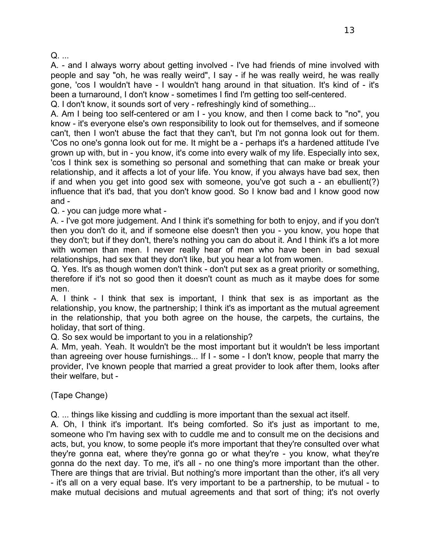$Q_{\ldots}$ 

A. - and I always worry about getting involved - I've had friends of mine involved with people and say "oh, he was really weird", I say - if he was really weird, he was really gone, 'cos I wouldn't have - I wouldn't hang around in that situation. It's kind of - it's been a turnaround, I don't know - sometimes I find I'm getting too self-centered.

Q. I don't know, it sounds sort of very - refreshingly kind of something...

A. Am I being too self-centered or am I - you know, and then I come back to "no", you know - it's everyone else's own responsibility to look out for themselves, and if someone can't, then I won't abuse the fact that they can't, but I'm not gonna look out for them. 'Cos no one's gonna look out for me. It might be a - perhaps it's a hardened attitude I've grown up with, but in - you know, it's come into every walk of my life. Especially into sex, 'cos I think sex is something so personal and something that can make or break your relationship, and it affects a lot of your life. You know, if you always have bad sex, then if and when you get into good sex with someone, you've got such a - an ebullient(?) influence that it's bad, that you don't know good. So I know bad and I know good now and -

Q. - you can judge more what -

A. - I've got more judgement. And I think it's something for both to enjoy, and if you don't then you don't do it, and if someone else doesn't then you - you know, you hope that they don't; but if they don't, there's nothing you can do about it. And I think it's a lot more with women than men. I never really hear of men who have been in bad sexual relationships, had sex that they don't like, but you hear a lot from women.

Q. Yes. It's as though women don't think - don't put sex as a great priority or something, therefore if it's not so good then it doesn't count as much as it maybe does for some men.

A. I think - I think that sex is important, I think that sex is as important as the relationship, you know, the partnership; I think it's as important as the mutual agreement in the relationship, that you both agree on the house, the carpets, the curtains, the holiday, that sort of thing.

Q. So sex would be important to you in a relationship?

A. Mm, yeah. Yeah. It wouldn't be the most important but it wouldn't be less important than agreeing over house furnishings... If I - some - I don't know, people that marry the provider, I've known people that married a great provider to look after them, looks after their welfare, but -

(Tape Change)

Q. ... things like kissing and cuddling is more important than the sexual act itself.

A. Oh, I think it's important. It's being comforted. So it's just as important to me, someone who I'm having sex with to cuddle me and to consult me on the decisions and acts, but, you know, to some people it's more important that they're consulted over what they're gonna eat, where they're gonna go or what they're - you know, what they're gonna do the next day. To me, it's all - no one thing's more important than the other. There are things that are trivial. But nothing's more important than the other, it's all very - it's all on a very equal base. It's very important to be a partnership, to be mutual - to make mutual decisions and mutual agreements and that sort of thing; it's not overly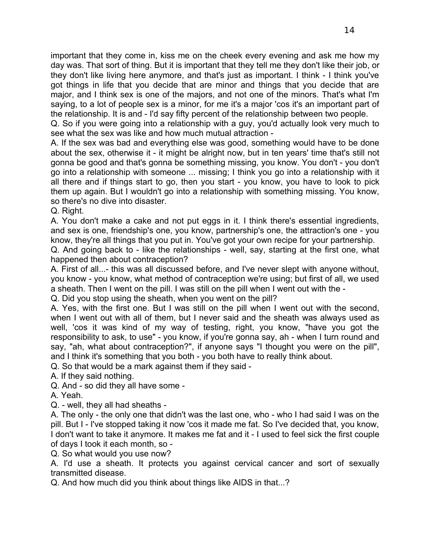important that they come in, kiss me on the cheek every evening and ask me how my day was. That sort of thing. But it is important that they tell me they don't like their job, or they don't like living here anymore, and that's just as important. I think - I think you've got things in life that you decide that are minor and things that you decide that are major, and I think sex is one of the majors, and not one of the minors. That's what I'm saying, to a lot of people sex is a minor, for me it's a major 'cos it's an important part of the relationship. It is and - I'd say fifty percent of the relationship between two people.

Q. So if you were going into a relationship with a guy, you'd actually look very much to see what the sex was like and how much mutual attraction -

A. If the sex was bad and everything else was good, something would have to be done about the sex, otherwise it - it might be alright now, but in ten years' time that's still not gonna be good and that's gonna be something missing, you know. You don't - you don't go into a relationship with someone ... missing; I think you go into a relationship with it all there and if things start to go, then you start - you know, you have to look to pick them up again. But I wouldn't go into a relationship with something missing. You know, so there's no dive into disaster.

Q. Right.

A. You don't make a cake and not put eggs in it. I think there's essential ingredients, and sex is one, friendship's one, you know, partnership's one, the attraction's one - you know, they're all things that you put in. You've got your own recipe for your partnership.

Q. And going back to - like the relationships - well, say, starting at the first one, what happened then about contraception?

A. First of all...- this was all discussed before, and I've never slept with anyone without, you know - you know, what method of contraception we're using; but first of all, we used a sheath. Then I went on the pill. I was still on the pill when I went out with the -

Q. Did you stop using the sheath, when you went on the pill?

A. Yes, with the first one. But I was still on the pill when I went out with the second, when I went out with all of them, but I never said and the sheath was always used as well, 'cos it was kind of my way of testing, right, you know, "have you got the responsibility to ask, to use" - you know, if you're gonna say, ah - when I turn round and say, "ah, what about contraception?", if anyone says "I thought you were on the pill", and I think it's something that you both - you both have to really think about.

Q. So that would be a mark against them if they said -

A. If they said nothing.

Q. And - so did they all have some -

A. Yeah.

Q. - well, they all had sheaths -

A. The only - the only one that didn't was the last one, who - who I had said I was on the pill. But I - I've stopped taking it now 'cos it made me fat. So I've decided that, you know, I don't want to take it anymore. It makes me fat and it - I used to feel sick the first couple of days I took it each month, so -

Q. So what would you use now?

A. I'd use a sheath. It protects you against cervical cancer and sort of sexually transmitted disease.

Q. And how much did you think about things like AIDS in that...?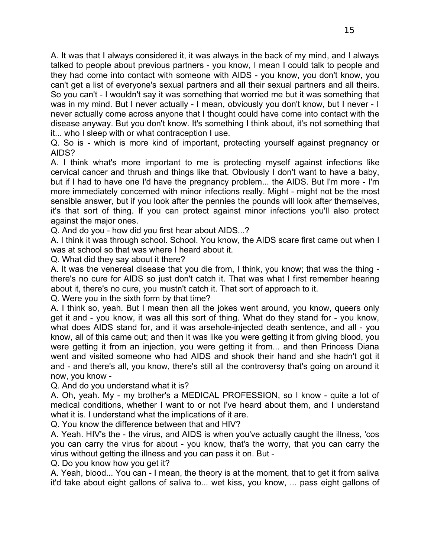A. It was that I always considered it, it was always in the back of my mind, and I always talked to people about previous partners - you know, I mean I could talk to people and they had come into contact with someone with AIDS - you know, you don't know, you can't get a list of everyone's sexual partners and all their sexual partners and all theirs. So you can't - I wouldn't say it was something that worried me but it was something that was in my mind. But I never actually - I mean, obviously you don't know, but I never - I never actually come across anyone that I thought could have come into contact with the disease anyway. But you don't know. It's something I think about, it's not something that it... who I sleep with or what contraception I use.

Q. So is - which is more kind of important, protecting yourself against pregnancy or AIDS?

A. I think what's more important to me is protecting myself against infections like cervical cancer and thrush and things like that. Obviously I don't want to have a baby, but if I had to have one I'd have the pregnancy problem... the AIDS. But I'm more - I'm more immediately concerned with minor infections really. Might - might not be the most sensible answer, but if you look after the pennies the pounds will look after themselves, it's that sort of thing. If you can protect against minor infections you'll also protect against the major ones.

Q. And do you - how did you first hear about AIDS...?

A. I think it was through school. School. You know, the AIDS scare first came out when I was at school so that was where I heard about it.

Q. What did they say about it there?

A. It was the venereal disease that you die from, I think, you know; that was the thing there's no cure for AIDS so just don't catch it. That was what I first remember hearing about it, there's no cure, you mustn't catch it. That sort of approach to it.

Q. Were you in the sixth form by that time?

A. I think so, yeah. But I mean then all the jokes went around, you know, queers only get it and - you know, it was all this sort of thing. What do they stand for - you know, what does AIDS stand for, and it was arsehole-injected death sentence, and all - you know, all of this came out; and then it was like you were getting it from giving blood, you were getting it from an injection, you were getting it from... and then Princess Diana went and visited someone who had AIDS and shook their hand and she hadn't got it and - and there's all, you know, there's still all the controversy that's going on around it now, you know -

Q. And do you understand what it is?

A. Oh, yeah. My - my brother's a MEDICAL PROFESSION, so I know - quite a lot of medical conditions, whether I want to or not I've heard about them, and I understand what it is. I understand what the implications of it are.

Q. You know the difference between that and HIV?

A. Yeah. HIV's the - the virus, and AIDS is when you've actually caught the illness, 'cos you can carry the virus for about - you know, that's the worry, that you can carry the virus without getting the illness and you can pass it on. But -

Q. Do you know how you get it?

A. Yeah, blood... You can - I mean, the theory is at the moment, that to get it from saliva it'd take about eight gallons of saliva to... wet kiss, you know, ... pass eight gallons of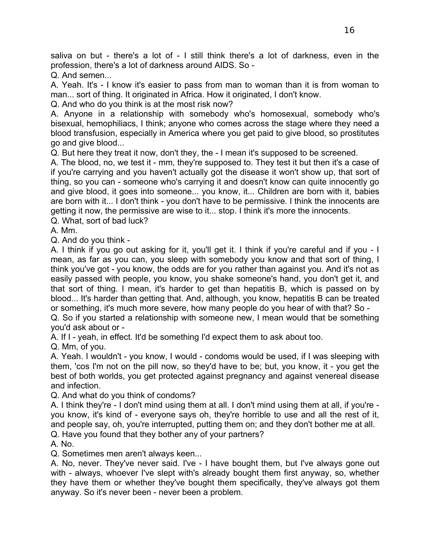saliva on but - there's a lot of - I still think there's a lot of darkness, even in the profession, there's a lot of darkness around AIDS. So -

Q. And semen...

A. Yeah. It's - I know it's easier to pass from man to woman than it is from woman to man... sort of thing. It originated in Africa. How it originated, I don't know.

Q. And who do you think is at the most risk now?

A. Anyone in a relationship with somebody who's homosexual, somebody who's bisexual, hemophiliacs, I think; anyone who comes across the stage where they need a blood transfusion, especially in America where you get paid to give blood, so prostitutes go and give blood...

Q. But here they treat it now, don't they, the - I mean it's supposed to be screened.

A. The blood, no, we test it - mm, they're supposed to. They test it but then it's a case of if you're carrying and you haven't actually got the disease it won't show up, that sort of thing, so you can - someone who's carrying it and doesn't know can quite innocently go and give blood, it goes into someone... you know, it... Children are born with it, babies are born with it... I don't think - you don't have to be permissive. I think the innocents are getting it now, the permissive are wise to it... stop. I think it's more the innocents.

Q. What, sort of bad luck?

A. Mm.

Q. And do you think -

A. I think if you go out asking for it, you'll get it. I think if you're careful and if you - I mean, as far as you can, you sleep with somebody you know and that sort of thing, I think you've got - you know, the odds are for you rather than against you. And it's not as easily passed with people, you know, you shake someone's hand, you don't get it, and that sort of thing. I mean, it's harder to get than hepatitis B, which is passed on by blood... It's harder than getting that. And, although, you know, hepatitis B can be treated or something, it's much more severe, how many people do you hear of with that? So -

Q. So if you started a relationship with someone new, I mean would that be something you'd ask about or -

A. If I - yeah, in effect. It'd be something I'd expect them to ask about too.

Q. Mm, of you.

A. Yeah. I wouldn't - you know, I would - condoms would be used, if I was sleeping with them, 'cos I'm not on the pill now, so they'd have to be; but, you know, it - you get the best of both worlds, you get protected against pregnancy and against venereal disease and infection.

Q. And what do you think of condoms?

A. I think they're - I don't mind using them at all. I don't mind using them at all, if you're you know, it's kind of - everyone says oh, they're horrible to use and all the rest of it, and people say, oh, you're interrupted, putting them on; and they don't bother me at all.

Q. Have you found that they bother any of your partners?

A. No.

Q. Sometimes men aren't always keen...

A. No, never. They've never said. I've - I have bought them, but I've always gone out with - always, whoever I've slept with's already bought them first anyway, so, whether they have them or whether they've bought them specifically, they've always got them anyway. So it's never been - never been a problem.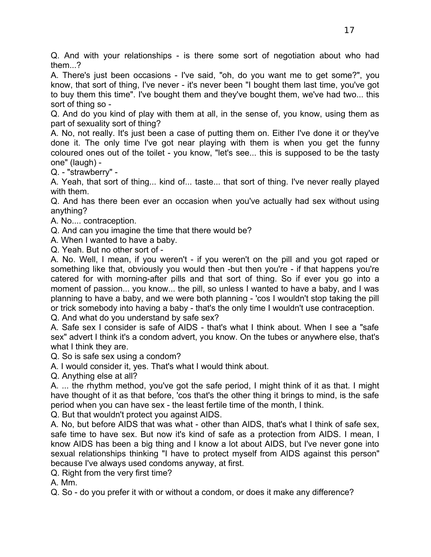Q. And with your relationships - is there some sort of negotiation about who had them ?

A. There's just been occasions - I've said, "oh, do you want me to get some?", you know, that sort of thing, I've never - it's never been "I bought them last time, you've got to buy them this time". I've bought them and they've bought them, we've had two... this sort of thing so -

Q. And do you kind of play with them at all, in the sense of, you know, using them as part of sexuality sort of thing?

A. No, not really. It's just been a case of putting them on. Either I've done it or they've done it. The only time I've got near playing with them is when you get the funny coloured ones out of the toilet - you know, "let's see... this is supposed to be the tasty one" (laugh) -

Q. - "strawberry" -

A. Yeah, that sort of thing... kind of... taste... that sort of thing. I've never really played with them.

Q. And has there been ever an occasion when you've actually had sex without using anything?

A. No.... contraception.

Q. And can you imagine the time that there would be?

A. When I wanted to have a baby.

Q. Yeah. But no other sort of -

A. No. Well, I mean, if you weren't - if you weren't on the pill and you got raped or something like that, obviously you would then -but then you're - if that happens you're catered for with morning-after pills and that sort of thing. So if ever you go into a moment of passion... you know... the pill, so unless I wanted to have a baby, and I was planning to have a baby, and we were both planning - 'cos I wouldn't stop taking the pill or trick somebody into having a baby - that's the only time I wouldn't use contraception.

Q. And what do you understand by safe sex?

A. Safe sex I consider is safe of AIDS - that's what I think about. When I see a "safe sex" advert I think it's a condom advert, you know. On the tubes or anywhere else, that's what I think they are.

Q. So is safe sex using a condom?

A. I would consider it, yes. That's what I would think about.

Q. Anything else at all?

A. ... the rhythm method, you've got the safe period, I might think of it as that. I might have thought of it as that before, 'cos that's the other thing it brings to mind, is the safe period when you can have sex - the least fertile time of the month, I think.

Q. But that wouldn't protect you against AIDS.

A. No, but before AIDS that was what - other than AIDS, that's what I think of safe sex, safe time to have sex. But now it's kind of safe as a protection from AIDS. I mean, I know AIDS has been a big thing and I know a lot about AIDS, but I've never gone into sexual relationships thinking "I have to protect myself from AIDS against this person" because I've always used condoms anyway, at first.

Q. Right from the very first time?

A. Mm.

Q. So - do you prefer it with or without a condom, or does it make any difference?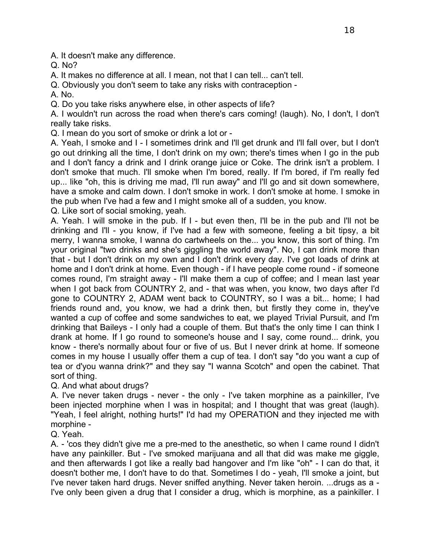A. It doesn't make any difference.

Q. No?

A. It makes no difference at all. I mean, not that I can tell... can't tell.

Q. Obviously you don't seem to take any risks with contraception -

A. No.

Q. Do you take risks anywhere else, in other aspects of life?

A. I wouldn't run across the road when there's cars coming! (laugh). No, I don't, I don't really take risks.

Q. I mean do you sort of smoke or drink a lot or -

A. Yeah, I smoke and I - I sometimes drink and I'll get drunk and I'll fall over, but I don't go out drinking all the time, I don't drink on my own; there's times when I go in the pub and I don't fancy a drink and I drink orange juice or Coke. The drink isn't a problem. I don't smoke that much. I'll smoke when I'm bored, really. If I'm bored, if I'm really fed up... like "oh, this is driving me mad, I'll run away" and I'll go and sit down somewhere, have a smoke and calm down. I don't smoke in work. I don't smoke at home. I smoke in the pub when I've had a few and I might smoke all of a sudden, you know.

Q. Like sort of social smoking, yeah.

A. Yeah. I will smoke in the pub. If I - but even then, I'll be in the pub and I'll not be drinking and I'll - you know, if I've had a few with someone, feeling a bit tipsy, a bit merry, I wanna smoke, I wanna do cartwheels on the... you know, this sort of thing. I'm your original "two drinks and she's giggling the world away". No, I can drink more than that - but I don't drink on my own and I don't drink every day. I've got loads of drink at home and I don't drink at home. Even though - if I have people come round - if someone comes round, I'm straight away - I'll make them a cup of coffee; and I mean last year when I got back from COUNTRY 2, and - that was when, you know, two days after I'd gone to COUNTRY 2, ADAM went back to COUNTRY, so I was a bit... home; I had friends round and, you know, we had a drink then, but firstly they come in, they've wanted a cup of coffee and some sandwiches to eat, we played Trivial Pursuit, and I'm drinking that Baileys - I only had a couple of them. But that's the only time I can think I drank at home. If I go round to someone's house and I say, come round... drink, you know - there's normally about four or five of us. But I never drink at home. If someone comes in my house I usually offer them a cup of tea. I don't say "do you want a cup of tea or d'you wanna drink?" and they say "I wanna Scotch" and open the cabinet. That sort of thing.

Q. And what about drugs?

A. I've never taken drugs - never - the only - I've taken morphine as a painkiller, I've been injected morphine when I was in hospital; and I thought that was great (laugh). "Yeah, I feel alright, nothing hurts!" I'd had my OPERATION and they injected me with morphine -

Q. Yeah.

A. - 'cos they didn't give me a pre-med to the anesthetic, so when I came round I didn't have any painkiller. But - I've smoked marijuana and all that did was make me giggle, and then afterwards I got like a really bad hangover and I'm like "oh" - I can do that, it doesn't bother me, I don't have to do that. Sometimes I do - yeah, I'll smoke a joint, but I've never taken hard drugs. Never sniffed anything. Never taken heroin. ...drugs as a - I've only been given a drug that I consider a drug, which is morphine, as a painkiller. I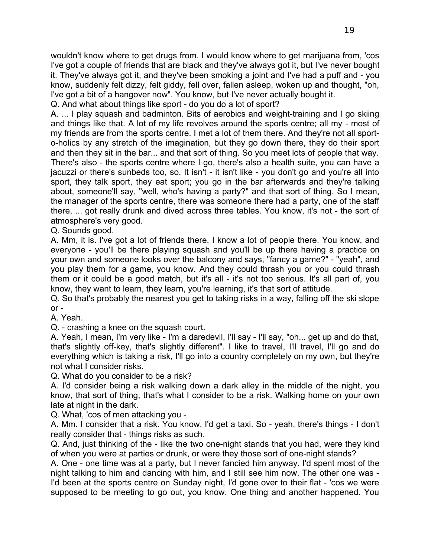wouldn't know where to get drugs from. I would know where to get marijuana from, 'cos I've got a couple of friends that are black and they've always got it, but I've never bought it. They've always got it, and they've been smoking a joint and I've had a puff and - you know, suddenly felt dizzy, felt giddy, fell over, fallen asleep, woken up and thought, "oh, I've got a bit of a hangover now". You know, but I've never actually bought it.

Q. And what about things like sport - do you do a lot of sport?

A. ... I play squash and badminton. Bits of aerobics and weight-training and I go skiing and things like that. A lot of my life revolves around the sports centre; all my - most of my friends are from the sports centre. I met a lot of them there. And they're not all sporto-holics by any stretch of the imagination, but they go down there, they do their sport and then they sit in the bar... and that sort of thing. So you meet lots of people that way. There's also - the sports centre where I go, there's also a health suite, you can have a jacuzzi or there's sunbeds too, so. It isn't - it isn't like - you don't go and you're all into sport, they talk sport, they eat sport; you go in the bar afterwards and they're talking about, someone'll say, "well, who's having a party?" and that sort of thing. So I mean, the manager of the sports centre, there was someone there had a party, one of the staff there, ... got really drunk and dived across three tables. You know, it's not - the sort of atmosphere's very good.

Q. Sounds good.

A. Mm, it is. I've got a lot of friends there, I know a lot of people there. You know, and everyone - you'll be there playing squash and you'll be up there having a practice on your own and someone looks over the balcony and says, "fancy a game?" - "yeah", and you play them for a game, you know. And they could thrash you or you could thrash them or it could be a good match, but it's all - it's not too serious. It's all part of, you know, they want to learn, they learn, you're learning, it's that sort of attitude.

Q. So that's probably the nearest you get to taking risks in a way, falling off the ski slope  $or -$ 

A. Yeah.

Q. - crashing a knee on the squash court.

A. Yeah, I mean, I'm very like - I'm a daredevil, I'll say - I'll say, "oh... get up and do that, that's slightly off-key, that's slightly different". I like to travel, I'll travel, I'll go and do everything which is taking a risk, I'll go into a country completely on my own, but they're not what I consider risks.

Q. What do you consider to be a risk?

A. I'd consider being a risk walking down a dark alley in the middle of the night, you know, that sort of thing, that's what I consider to be a risk. Walking home on your own late at night in the dark.

Q. What, 'cos of men attacking you -

A. Mm. I consider that a risk. You know, I'd get a taxi. So - yeah, there's things - I don't really consider that - things risks as such.

Q. And, just thinking of the - like the two one-night stands that you had, were they kind of when you were at parties or drunk, or were they those sort of one-night stands?

A. One - one time was at a party, but I never fancied him anyway. I'd spent most of the night talking to him and dancing with him, and I still see him now. The other one was - I'd been at the sports centre on Sunday night, I'd gone over to their flat - 'cos we were supposed to be meeting to go out, you know. One thing and another happened. You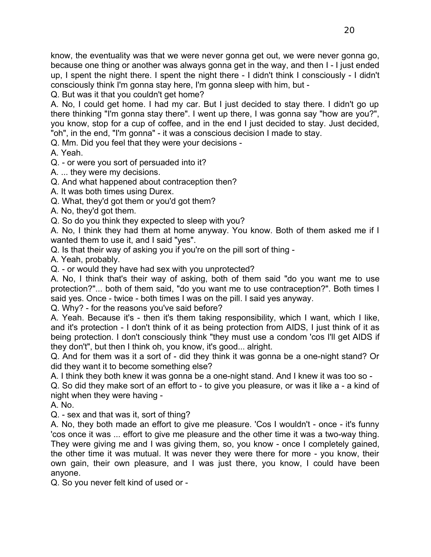know, the eventuality was that we were never gonna get out, we were never gonna go, because one thing or another was always gonna get in the way, and then I - I just ended up, I spent the night there. I spent the night there - I didn't think I consciously - I didn't consciously think I'm gonna stay here, I'm gonna sleep with him, but -

Q. But was it that you couldn't get home?

A. No, I could get home. I had my car. But I just decided to stay there. I didn't go up there thinking "I'm gonna stay there". I went up there, I was gonna say "how are you?", you know, stop for a cup of coffee, and in the end I just decided to stay. Just decided, "oh", in the end, "I'm gonna" - it was a conscious decision I made to stay.

Q. Mm. Did you feel that they were your decisions -

A. Yeah.

Q. - or were you sort of persuaded into it?

A. ... they were my decisions.

Q. And what happened about contraception then?

A. It was both times using Durex.

Q. What, they'd got them or you'd got them?

A. No, they'd got them.

Q. So do you think they expected to sleep with you?

A. No, I think they had them at home anyway. You know. Both of them asked me if I wanted them to use it, and I said "yes".

Q. Is that their way of asking you if you're on the pill sort of thing -

A. Yeah, probably.

Q. - or would they have had sex with you unprotected?

A. No, I think that's their way of asking, both of them said "do you want me to use protection?"... both of them said, "do you want me to use contraception?". Both times I said yes. Once - twice - both times I was on the pill. I said yes anyway.

Q. Why? - for the reasons you've said before?

A. Yeah. Because it's - then it's them taking responsibility, which I want, which I like, and it's protection - I don't think of it as being protection from AIDS, I just think of it as being protection. I don't consciously think "they must use a condom 'cos I'll get AIDS if they don't", but then I think oh, you know, it's good... alright.

Q. And for them was it a sort of - did they think it was gonna be a one-night stand? Or did they want it to become something else?

A. I think they both knew it was gonna be a one-night stand. And I knew it was too so -

Q. So did they make sort of an effort to - to give you pleasure, or was it like a - a kind of night when they were having -

A. No.

Q. - sex and that was it, sort of thing?

A. No, they both made an effort to give me pleasure. 'Cos I wouldn't - once - it's funny 'cos once it was ... effort to give me pleasure and the other time it was a two-way thing. They were giving me and I was giving them, so, you know - once I completely gained, the other time it was mutual. It was never they were there for more - you know, their own gain, their own pleasure, and I was just there, you know, I could have been anyone.

Q. So you never felt kind of used or -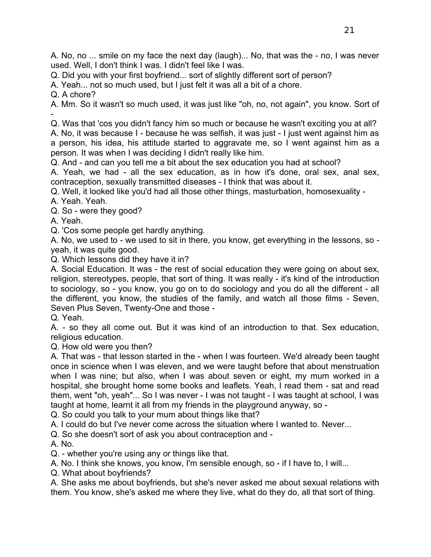A. No, no ... smile on my face the next day (laugh)... No, that was the - no, I was never used. Well, I don't think I was. I didn't feel like I was.

Q. Did you with your first boyfriend... sort of slightly different sort of person?

A. Yeah... not so much used, but I just felt it was all a bit of a chore.

Q. A chore?

A. Mm. So it wasn't so much used, it was just like "oh, no, not again", you know. Sort of -

Q. Was that 'cos you didn't fancy him so much or because he wasn't exciting you at all? A. No, it was because I - because he was selfish, it was just - I just went against him as a person, his idea, his attitude started to aggravate me, so I went against him as a person. It was when I was deciding I didn't really like him.

Q. And - and can you tell me a bit about the sex education you had at school?

A. Yeah, we had - all the sex education, as in how it's done, oral sex, anal sex, contraception, sexually transmitted diseases - I think that was about it.

Q. Well, it looked like you'd had all those other things, masturbation, homosexuality -

A. Yeah. Yeah.

Q. So - were they good?

A. Yeah.

Q. 'Cos some people get hardly anything.

A. No, we used to - we used to sit in there, you know, get everything in the lessons, so yeah, it was quite good.

Q. Which lessons did they have it in?

A. Social Education. It was - the rest of social education they were going on about sex, religion, stereotypes, people, that sort of thing. It was really - it's kind of the introduction to sociology, so - you know, you go on to do sociology and you do all the different - all the different, you know, the studies of the family, and watch all those films - Seven, Seven Plus Seven, Twenty-One and those -

Q. Yeah.

A. - so they all come out. But it was kind of an introduction to that. Sex education, religious education.

Q. How old were you then?

A. That was - that lesson started in the - when I was fourteen. We'd already been taught once in science when I was eleven, and we were taught before that about menstruation when I was nine; but also, when I was about seven or eight, my mum worked in a hospital, she brought home some books and leaflets. Yeah, I read them - sat and read them, went "oh, yeah"... So I was never - I was not taught - I was taught at school, I was taught at home, learnt it all from my friends in the playground anyway, so -

Q. So could you talk to your mum about things like that?

A. I could do but I've never come across the situation where I wanted to. Never...

Q. So she doesn't sort of ask you about contraception and -

A. No.

Q. - whether you're using any or things like that.

A. No. I think she knows, you know, I'm sensible enough, so - if I have to, I will...

Q. What about boyfriends?

A. She asks me about boyfriends, but she's never asked me about sexual relations with them. You know, she's asked me where they live, what do they do, all that sort of thing.